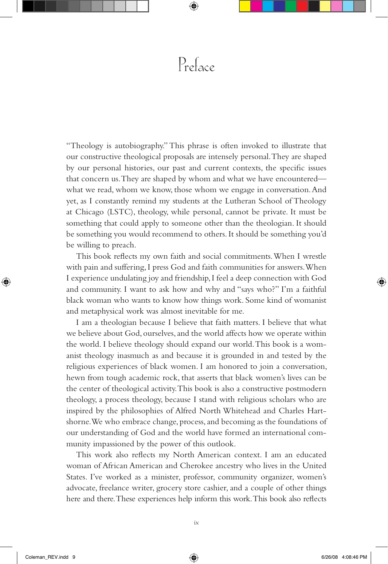## $P_{refacc}$

"Theology is autobiography." This phrase is often invoked to illustrate that our constructive theological proposals are intensely personal. They are shaped by our personal histories, our past and current contexts, the specific issues that concern us. They are shaped by whom and what we have encountered what we read, whom we know, those whom we engage in conversation. And yet, as I constantly remind my students at the Lutheran School of Theology at Chicago (LSTC), theology, while personal, cannot be private. It must be something that could apply to someone other than the theologian. It should be something you would recommend to others. It should be something you'd be willing to preach.

This book reflects my own faith and social commitments. When I wrestle with pain and suffering, I press God and faith communities for answers. When I experience undulating joy and friendship, I feel a deep connection with God and community. I want to ask how and why and "says who?" I'm a faithful black woman who wants to know how things work. Some kind of womanist and metaphysical work was almost inevitable for me.

I am a theologian because I believe that faith matters. I believe that what we believe about God, ourselves, and the world affects how we operate within the world. I believe theology should expand our world. This book is a womanist theology inasmuch as and because it is grounded in and tested by the religious experiences of black women. I am honored to join a conversation, hewn from tough academic rock, that asserts that black women's lives can be the center of theological activity. This book is also a constructive postmodern theology, a process theology, because I stand with religious scholars who are inspired by the philosophies of Alfred North Whitehead and Charles Hartshorne. We who embrace change, process, and becoming as the foundations of our understanding of God and the world have formed an international community impassioned by the power of this outlook.

This work also reflects my North American context. I am an educated woman of African American and Cherokee ancestry who lives in the United States. I've worked as a minister, professor, community organizer, women's advocate, freelance writer, grocery store cashier, and a couple of other things here and there. These experiences help inform this work. This book also reflects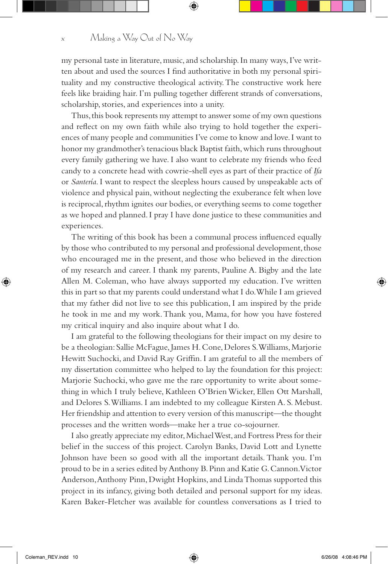my personal taste in literature, music, and scholarship. In many ways, I've written about and used the sources I find authoritative in both my personal spirituality and my constructive theological activity. The constructive work here feels like braiding hair. I'm pulling together different strands of conversations, scholarship, stories, and experiences into a unity.

Thus, this book represents my attempt to answer some of my own questions and reflect on my own faith while also trying to hold together the experiences of many people and communities I've come to know and love. I want to honor my grandmother's tenacious black Baptist faith, which runs throughout every family gathering we have. I also want to celebrate my friends who feed candy to a concrete head with cowrie-shell eyes as part of their practice of *Ifa* or *Santería*. I want to respect the sleepless hours caused by unspeakable acts of violence and physical pain, without neglecting the exuberance felt when love is reciprocal, rhythm ignites our bodies, or everything seems to come together as we hoped and planned. I pray I have done justice to these communities and experiences.

The writing of this book has been a communal process influenced equally by those who contributed to my personal and professional development, those who encouraged me in the present, and those who believed in the direction of my research and career. I thank my parents, Pauline A. Bigby and the late Allen M. Coleman, who have always supported my education. I've written this in part so that my parents could understand what I do. While I am grieved that my father did not live to see this publication, I am inspired by the pride he took in me and my work. Thank you, Mama, for how you have fostered my critical inquiry and also inquire about what I do.

I am grateful to the following theologians for their impact on my desire to be a theologian: Sallie McFague, James H. Cone, Delores S. Williams, Marjorie Hewitt Suchocki, and David Ray Griffin. I am grateful to all the members of my dissertation committee who helped to lay the foundation for this project: Marjorie Suchocki, who gave me the rare opportunity to write about something in which I truly believe, Kathleen O'Brien Wicker, Ellen Ott Marshall, and Delores S. Williams. I am indebted to my colleague Kirsten A. S. Mebust. Her friendship and attention to every version of this manuscript—the thought processes and the written words—make her a true co-sojourner.

I also greatly appreciate my editor, Michael West, and Fortress Press for their belief in the success of this project. Carolyn Banks, David Lott and Lynette Johnson have been so good with all the important details. Thank you. I'm proud to be in a series edited by Anthony B. Pinn and Katie G. Cannon. Victor Anderson, Anthony Pinn, Dwight Hopkins, and Linda Thomas supported this project in its infancy, giving both detailed and personal support for my ideas. Karen Baker-Fletcher was available for countless conversations as I tried to